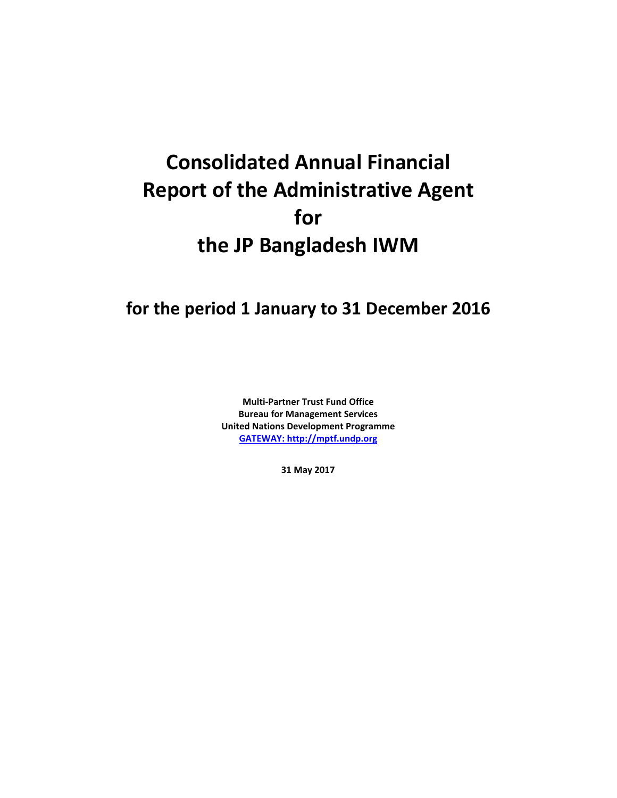# **Consolidated Annual Financial Report of the Administrative Agent for the JP Bangladesh IWM**

# **for the period 1 January to 31 December 2016**

**Multi-Partner Trust Fund Office Bureau for Management Services United Nations Development Programme [GATEWAY: http://mptf.undp.org](http://mptf.undp.org/)**

**31 May 2017**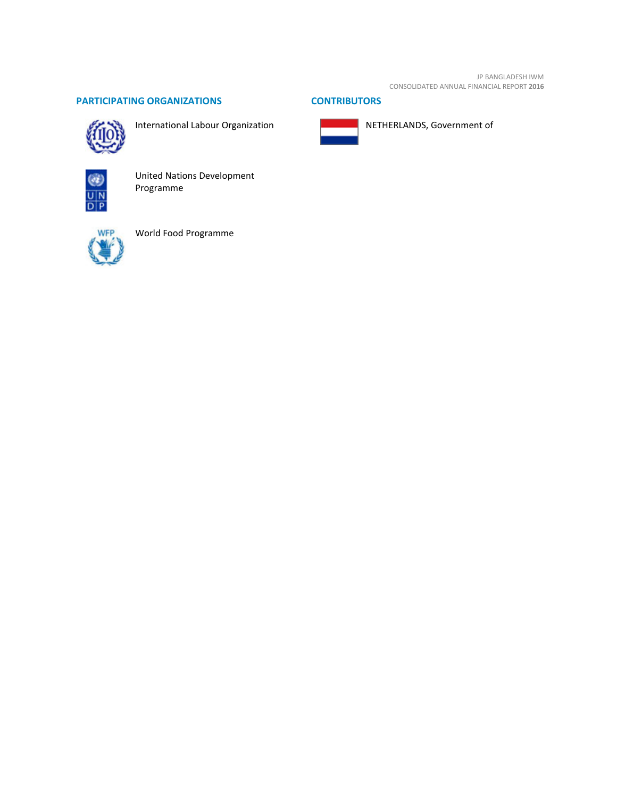JP BANGLADESH IWM CONSOLIDATED ANNUAL FINANCIAL REPORT **2016**

# **PARTICIPATING ORGANIZATIONS CONTRIBUTORS**



International Labour Organization





NETHERLANDS, Government of



United Nations Development Programme



World Food Programme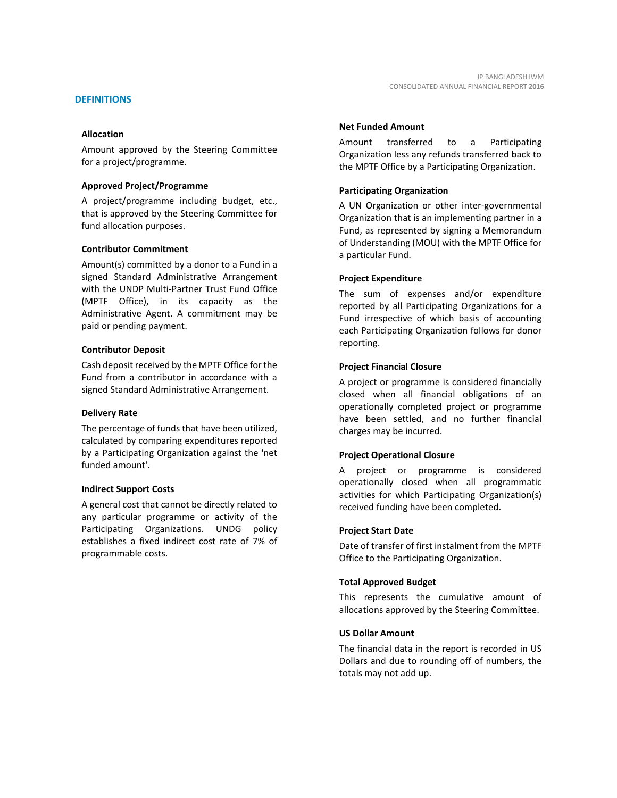Amount approved by the Steering Committee for a project/programme.

# **Approved Project/Programme**

A project/programme including budget, etc., that is approved by the Steering Committee for fund allocation purposes.

# **Contributor Commitment**

Amount(s) committed by a donor to a Fund in a signed Standard Administrative Arrangement with the UNDP Multi-Partner Trust Fund Office (MPTF Office), in its capacity as the Administrative Agent. A commitment may be paid or pending payment.

# **Contributor Deposit**

Cash deposit received by the MPTF Office for the Fund from a contributor in accordance with a signed Standard Administrative Arrangement.

#### **Delivery Rate**

The percentage of funds that have been utilized, calculated by comparing expenditures reported by a Participating Organization against the 'net funded amount'.

# **Indirect Support Costs**

A general cost that cannot be directly related to any particular programme or activity of the Participating Organizations. UNDG policy establishes a fixed indirect cost rate of 7% of programmable costs.

# **Net Funded Amount**

Amount transferred to a Participating Organization less any refunds transferred back to the MPTF Office by a Participating Organization.

# **Participating Organization**

A UN Organization or other inter-governmental Organization that is an implementing partner in a Fund, as represented by signing a Memorandum of Understanding (MOU) with the MPTF Office for a particular Fund.

# **Project Expenditure**

The sum of expenses and/or expenditure reported by all Participating Organizations for a Fund irrespective of which basis of accounting each Participating Organization follows for donor reporting.

# **Project Financial Closure**

A project or programme is considered financially closed when all financial obligations of an operationally completed project or programme have been settled, and no further financial charges may be incurred.

# **Project Operational Closure**

A project or programme is considered operationally closed when all programmatic activities for which Participating Organization(s) received funding have been completed.

# **Project Start Date**

Date of transfer of first instalment from the MPTF Office to the Participating Organization.

### **Total Approved Budget**

This represents the cumulative amount of allocations approved by the Steering Committee.

# **US Dollar Amount**

The financial data in the report is recorded in US Dollars and due to rounding off of numbers, the totals may not add up.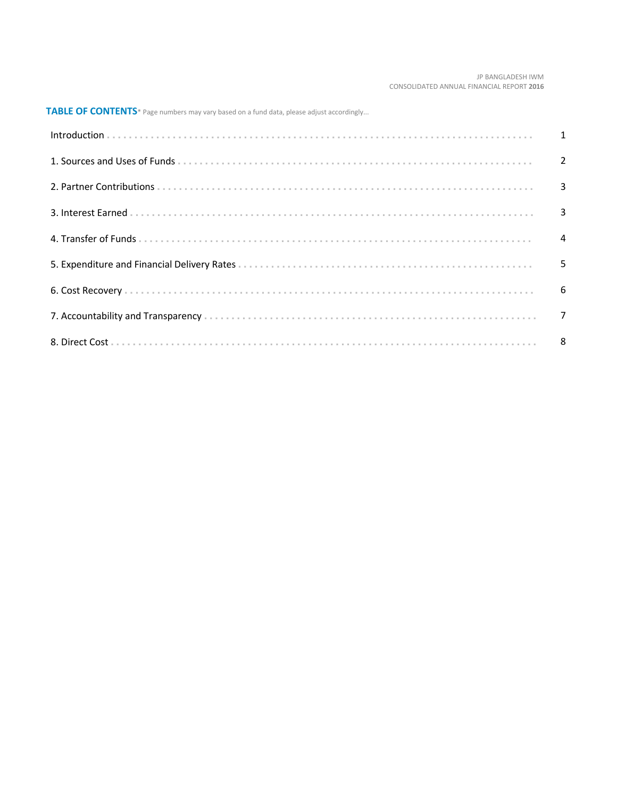#### JP BANGLADESH IWM CONSOLIDATED ANNUAL FINANCIAL REPORT **2016**

**TABLE OF CONTENTS**\* Page numbers may vary based on a fund data, please adjust accordingly...

| Introduction 1 1 |  |
|------------------|--|
|                  |  |
|                  |  |
|                  |  |
|                  |  |
|                  |  |
|                  |  |
|                  |  |
|                  |  |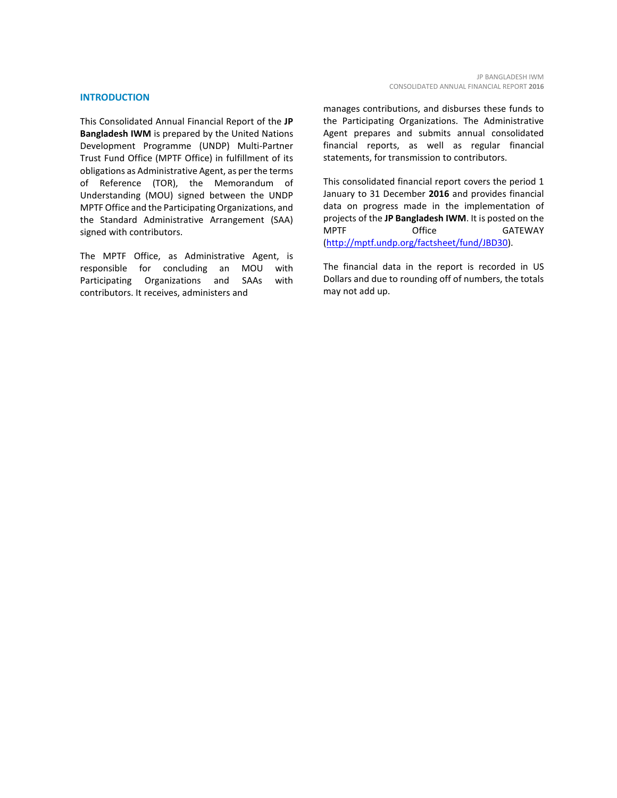### **INTRODUCTION**

This Consolidated Annual Financial Report of the **JP Bangladesh IWM** is prepared by the United Nations Development Programme (UNDP) Multi-Partner Trust Fund Office (MPTF Office) in fulfillment of its obligations as Administrative Agent, as per the terms of Reference (TOR), the Memorandum of Understanding (MOU) signed between the UNDP MPTF Office and the Participating Organizations, and the Standard Administrative Arrangement (SAA) signed with contributors.

The MPTF Office, as Administrative Agent, is responsible for concluding an MOU with Participating Organizations and SAAs with contributors. It receives, administers and

manages contributions, and disburses these funds to the Participating Organizations. The Administrative Agent prepares and submits annual consolidated financial reports, as well as regular financial statements, for transmission to contributors.

This consolidated financial report covers the period 1 January to 31 December **2016** and provides financial data on progress made in the implementation of projects of the **JP Bangladesh IWM**. It is posted on the MPTF Office GATEWAY [\(http://mptf.undp.org/factsheet/fund/JBD30\)](http://mptf.undp.org/factsheet/fund/JBD30).

The financial data in the report is recorded in US Dollars and due to rounding off of numbers, the totals may not add up.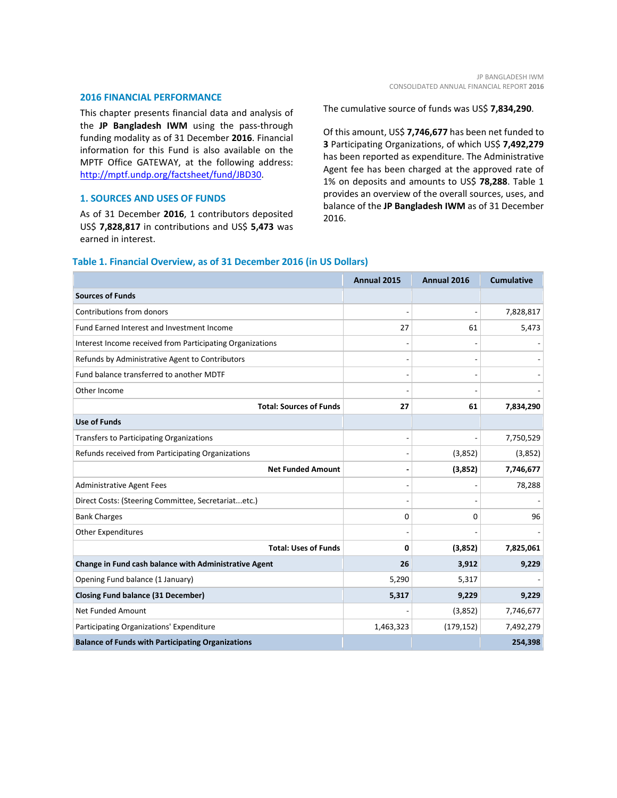#### **2016 FINANCIAL PERFORMANCE**

This chapter presents financial data and analysis of the **JP Bangladesh IWM** using the pass-through funding modality as of 31 December **2016**. Financial information for this Fund is also available on the MPTF Office GATEWAY, at the following address: [http://mptf.undp.org/factsheet/fund/JBD30.](http://mptf.undp.org/factsheet/fund/JBD30) 

# **1. SOURCES AND USES OF FUNDS**

As of 31 December **2016**, 1 contributors deposited US\$ **7,828,817** in contributions and US\$ **5,473** was earned in interest.

The cumulative source of funds was US\$ **7,834,290**.

Of this amount, US\$ **7,746,677** has been net funded to **3** Participating Organizations, of which US\$ **7,492,279** has been reported as expenditure. The Administrative Agent fee has been charged at the approved rate of 1% on deposits and amounts to US\$ **78,288**. Table 1 provides an overview of the overall sources, uses, and balance of the **JP Bangladesh IWM** as of 31 December 2016.

# **Table 1. Financial Overview, as of 31 December 2016 (in US Dollars)**

|                                                           | Annual 2015 | Annual 2016 | <b>Cumulative</b> |
|-----------------------------------------------------------|-------------|-------------|-------------------|
| <b>Sources of Funds</b>                                   |             |             |                   |
| Contributions from donors                                 |             |             | 7,828,817         |
| Fund Earned Interest and Investment Income                | 27          | 61          | 5,473             |
| Interest Income received from Participating Organizations |             |             |                   |
| Refunds by Administrative Agent to Contributors           |             |             |                   |
| Fund balance transferred to another MDTF                  |             |             |                   |
| Other Income                                              |             |             |                   |
| <b>Total: Sources of Funds</b>                            | 27          | 61          | 7,834,290         |
| <b>Use of Funds</b>                                       |             |             |                   |
| Transfers to Participating Organizations                  |             |             | 7,750,529         |
| Refunds received from Participating Organizations         |             | (3,852)     | (3,852)           |
| <b>Net Funded Amount</b>                                  |             | (3,852)     | 7,746,677         |
| <b>Administrative Agent Fees</b>                          |             |             | 78,288            |
| Direct Costs: (Steering Committee, Secretariatetc.)       |             |             |                   |
| <b>Bank Charges</b>                                       | 0           | 0           | 96                |
| Other Expenditures                                        |             |             |                   |
| <b>Total: Uses of Funds</b>                               | 0           | (3,852)     | 7,825,061         |
| Change in Fund cash balance with Administrative Agent     | 26          | 3,912       | 9,229             |
| Opening Fund balance (1 January)                          | 5,290       | 5,317       |                   |
| <b>Closing Fund balance (31 December)</b>                 | 5,317       | 9,229       | 9,229             |
| Net Funded Amount                                         |             | (3,852)     | 7,746,677         |
| Participating Organizations' Expenditure                  | 1,463,323   | (179, 152)  | 7,492,279         |
| <b>Balance of Funds with Participating Organizations</b>  |             |             | 254,398           |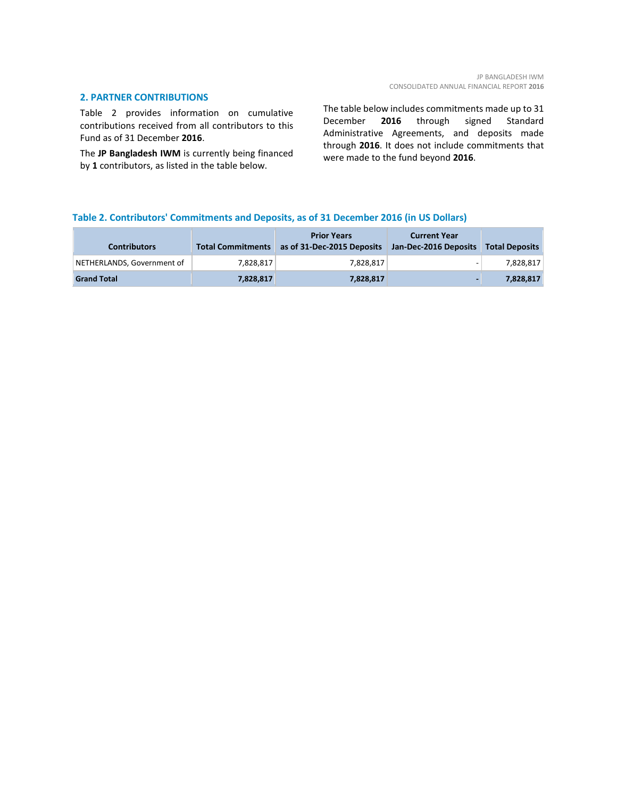# **2. PARTNER CONTRIBUTIONS**

Table 2 provides information on cumulative contributions received from all contributors to this Fund as of 31 December **2016**.

The **JP Bangladesh IWM** is currently being financed by **1** contributors, as listed in the table below.

The table below includes commitments made up to 31 December **2016** through signed Standard Administrative Agreements, and deposits made through **2016**. It does not include commitments that were made to the fund beyond **2016**.

# **Table 2. Contributors' Commitments and Deposits, as of 31 December 2016 (in US Dollars)**

| <b>Contributors</b>        | <b>Total Commitments</b> | <b>Prior Years</b><br>as of 31-Dec-2015 Deposits | <b>Current Year</b><br>Jan-Dec-2016 Deposits Total Deposits |           |
|----------------------------|--------------------------|--------------------------------------------------|-------------------------------------------------------------|-----------|
| NETHERLANDS, Government of | 7.828.817                | 7.828.817                                        | -                                                           | 7,828,817 |
| <b>Grand Total</b>         | 7,828,817                | 7,828,817                                        |                                                             | 7.828.817 |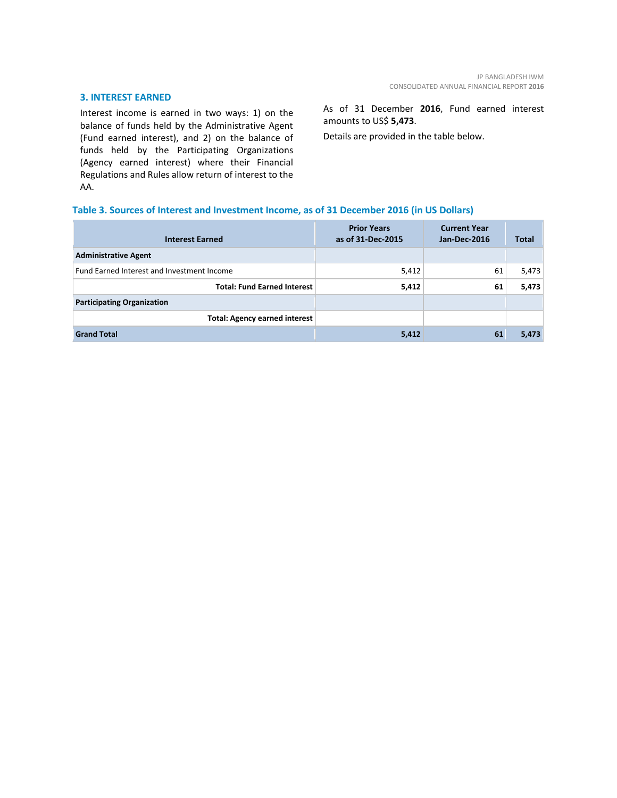# **3. INTEREST EARNED**

Interest income is earned in two ways: 1) on the balance of funds held by the Administrative Agent (Fund earned interest), and 2) on the balance of funds held by the Participating Organizations (Agency earned interest) where their Financial Regulations and Rules allow return of interest to the AA.

As of 31 December **2016**, Fund earned interest amounts to US\$ **5,473**.

Details are provided in the table below.

# **Table 3. Sources of Interest and Investment Income, as of 31 December 2016 (in US Dollars)**

| <b>Interest Earned</b>                     | <b>Prior Years</b><br>as of 31-Dec-2015 | <b>Current Year</b><br><b>Jan-Dec-2016</b> | <b>Total</b> |
|--------------------------------------------|-----------------------------------------|--------------------------------------------|--------------|
| <b>Administrative Agent</b>                |                                         |                                            |              |
| Fund Earned Interest and Investment Income | 5,412                                   | 61                                         | 5,473        |
| <b>Total: Fund Earned Interest</b>         | 5,412                                   | 61                                         | 5,473        |
| <b>Participating Organization</b>          |                                         |                                            |              |
| <b>Total: Agency earned interest</b>       |                                         |                                            |              |
| <b>Grand Total</b>                         | 5,412                                   | 61                                         | 5,473        |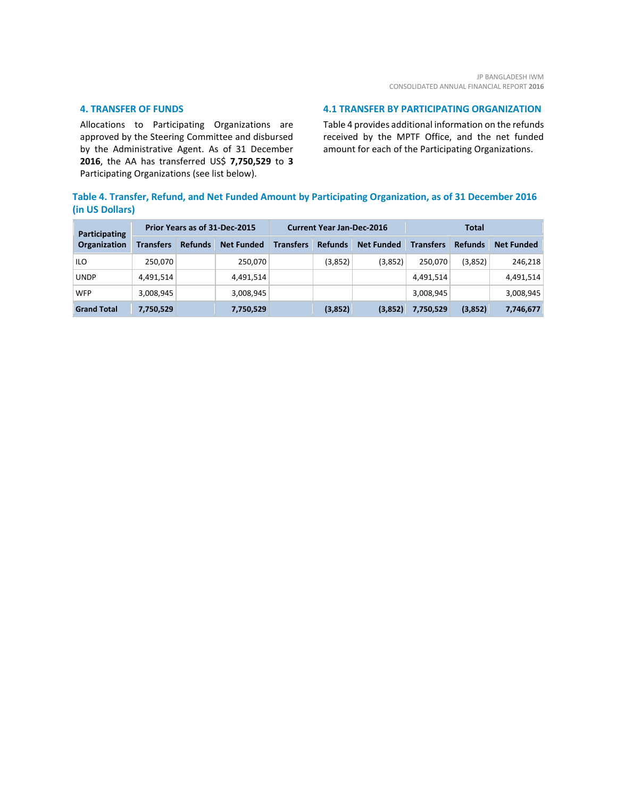# **4. TRANSFER OF FUNDS**

Allocations to Participating Organizations are approved by the Steering Committee and disbursed by the Administrative Agent. As of 31 December **2016**, the AA has transferred US\$ **7,750,529** to **3** Participating Organizations (see list below).

# **4.1 TRANSFER BY PARTICIPATING ORGANIZATION**

Table 4 provides additional information on the refunds received by the MPTF Office, and the net funded amount for each of the Participating Organizations.

# **Table 4. Transfer, Refund, and Net Funded Amount by Participating Organization, as of 31 December 2016 (in US Dollars)**

| Participating<br>Organization | Prior Years as of 31-Dec-2015 |                |                   | <b>Current Year Jan-Dec-2016</b> |                |                   | Total            |                |                   |
|-------------------------------|-------------------------------|----------------|-------------------|----------------------------------|----------------|-------------------|------------------|----------------|-------------------|
|                               | <b>Transfers</b>              | <b>Refunds</b> | <b>Net Funded</b> | <b>Transfers</b>                 | <b>Refunds</b> | <b>Net Funded</b> | <b>Transfers</b> | <b>Refunds</b> | <b>Net Funded</b> |
| ILO                           | 250,070                       |                | 250,070           |                                  | (3,852)        | (3,852)           | 250.070          | (3,852)        | 246,218           |
| <b>UNDP</b>                   | 4,491,514                     |                | 4,491,514         |                                  |                |                   | 4,491,514        |                | 4,491,514         |
| <b>WFP</b>                    | 3,008,945                     |                | 3,008,945         |                                  |                |                   | 3,008,945        |                | 3,008,945         |
| <b>Grand Total</b>            | 7,750,529                     |                | 7,750,529         |                                  | (3,852)        | (3,852)           | 7,750,529        | (3,852)        | 7,746,677         |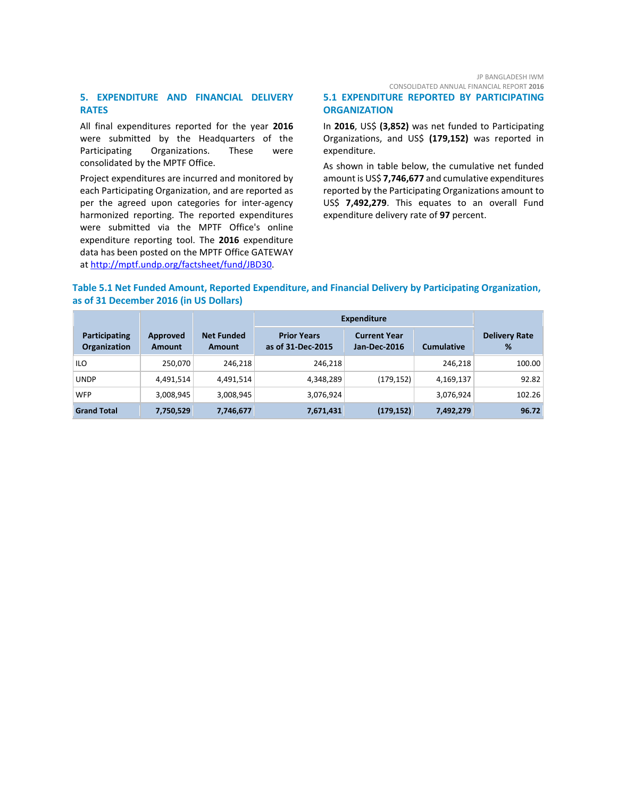# **5. EXPENDITURE AND FINANCIAL DELIVERY RATES**

All final expenditures reported for the year **2016** were submitted by the Headquarters of the Participating Organizations. These were consolidated by the MPTF Office.

Project expenditures are incurred and monitored by each Participating Organization, and are reported as per the agreed upon categories for inter-agency harmonized reporting. The reported expenditures were submitted via the MPTF Office's online expenditure reporting tool. The **2016** expenditure data has been posted on the MPTF Office GATEWAY at [http://mptf.undp.org/factsheet/fund/JBD30.](http://mptf.undp.org/factsheet/fund/JBD30)

#### JP BANGLADESH IWM CONSOLIDATED ANNUAL FINANCIAL REPORT **2016**

**5.1 EXPENDITURE REPORTED BY PARTICIPATING ORGANIZATION**

In **2016**, US\$ **(3,852)** was net funded to Participating Organizations, and US\$ **(179,152)** was reported in expenditure.

As shown in table below, the cumulative net funded amount is US\$ **7,746,677** and cumulative expenditures reported by the Participating Organizations amount to US\$ **7,492,279**. This equates to an overall Fund expenditure delivery rate of **97** percent.

# **Table 5.1 Net Funded Amount, Reported Expenditure, and Financial Delivery by Participating Organization, as of 31 December 2016 (in US Dollars)**

|                               |                           |                                    | <b>Expenditure</b>                      |                                            |                   |                           |
|-------------------------------|---------------------------|------------------------------------|-----------------------------------------|--------------------------------------------|-------------------|---------------------------|
| Participating<br>Organization | Approved<br><b>Amount</b> | <b>Net Funded</b><br><b>Amount</b> | <b>Prior Years</b><br>as of 31-Dec-2015 | <b>Current Year</b><br><b>Jan-Dec-2016</b> | <b>Cumulative</b> | <b>Delivery Rate</b><br>% |
| ILO.                          | 250,070                   | 246.218                            | 246.218                                 |                                            | 246.218           | 100.00                    |
| <b>UNDP</b>                   | 4,491,514                 | 4,491,514                          | 4,348,289                               | (179, 152)                                 | 4,169,137         | 92.82                     |
| <b>WFP</b>                    | 3,008,945                 | 3,008,945                          | 3,076,924                               |                                            | 3,076,924         | 102.26                    |
| <b>Grand Total</b>            | 7,750,529                 | 7,746,677                          | 7,671,431                               | (179, 152)                                 | 7,492,279         | 96.72                     |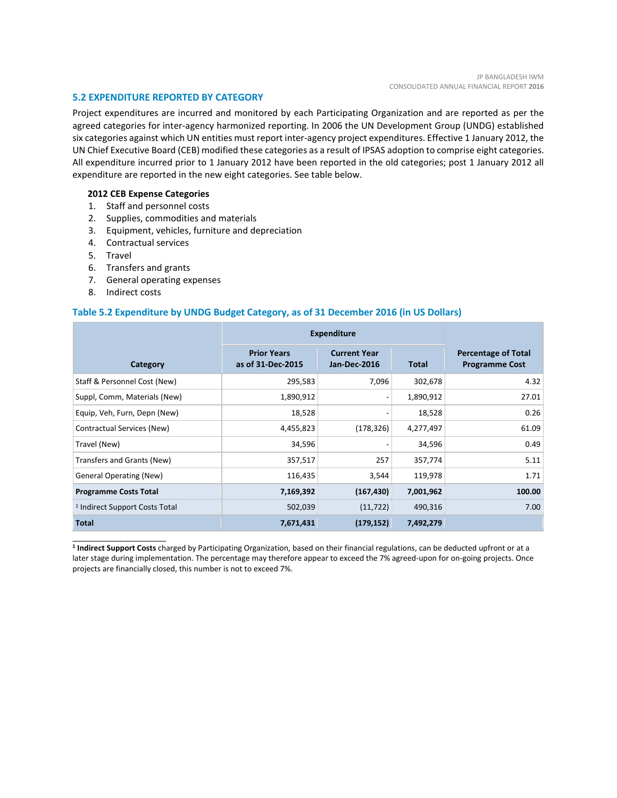# **5.2 EXPENDITURE REPORTED BY CATEGORY**

Project expenditures are incurred and monitored by each Participating Organization and are reported as per the agreed categories for inter-agency harmonized reporting. In 2006 the UN Development Group (UNDG) established six categories against which UN entities must report inter-agency project expenditures. Effective 1 January 2012, the UN Chief Executive Board (CEB) modified these categories as a result of IPSAS adoption to comprise eight categories. All expenditure incurred prior to 1 January 2012 have been reported in the old categories; post 1 January 2012 all expenditure are reported in the new eight categories. See table below.

# **2012 CEB Expense Categories**

- 1. Staff and personnel costs
- 2. Supplies, commodities and materials
- 3. Equipment, vehicles, furniture and depreciation
- 4. Contractual services
- 5. Travel
- 6. Transfers and grants
- 7. General operating expenses
- 8. Indirect costs

\_\_\_\_\_\_\_\_\_\_\_\_\_\_\_\_\_\_\_\_\_\_

# **Table 5.2 Expenditure by UNDG Budget Category, as of 31 December 2016 (in US Dollars)**

|                                           | <b>Expenditure</b>                      |                                            |              |                                                     |  |
|-------------------------------------------|-----------------------------------------|--------------------------------------------|--------------|-----------------------------------------------------|--|
| Category                                  | <b>Prior Years</b><br>as of 31-Dec-2015 | <b>Current Year</b><br><b>Jan-Dec-2016</b> | <b>Total</b> | <b>Percentage of Total</b><br><b>Programme Cost</b> |  |
| Staff & Personnel Cost (New)              | 295,583                                 | 7,096                                      | 302,678      | 4.32                                                |  |
| Suppl, Comm, Materials (New)              | 1,890,912                               |                                            | 1,890,912    | 27.01                                               |  |
| Equip, Veh, Furn, Depn (New)              | 18,528                                  |                                            | 18,528       | 0.26                                                |  |
| Contractual Services (New)                | 4,455,823                               | (178, 326)                                 | 4,277,497    | 61.09                                               |  |
| Travel (New)                              | 34,596                                  |                                            | 34,596       | 0.49                                                |  |
| Transfers and Grants (New)                | 357,517                                 | 257                                        | 357,774      | 5.11                                                |  |
| <b>General Operating (New)</b>            | 116,435                                 | 3,544                                      | 119,978      | 1.71                                                |  |
| <b>Programme Costs Total</b>              | 7,169,392                               | (167, 430)                                 | 7,001,962    | 100.00                                              |  |
| <sup>1</sup> Indirect Support Costs Total | 502,039                                 | (11, 722)                                  | 490,316      | 7.00                                                |  |
| <b>Total</b>                              | 7,671,431                               | (179, 152)                                 | 7,492,279    |                                                     |  |

**<sup>1</sup> Indirect Support Costs** charged by Participating Organization, based on their financial regulations, can be deducted upfront or at a later stage during implementation. The percentage may therefore appear to exceed the 7% agreed-upon for on-going projects. Once projects are financially closed, this number is not to exceed 7%.